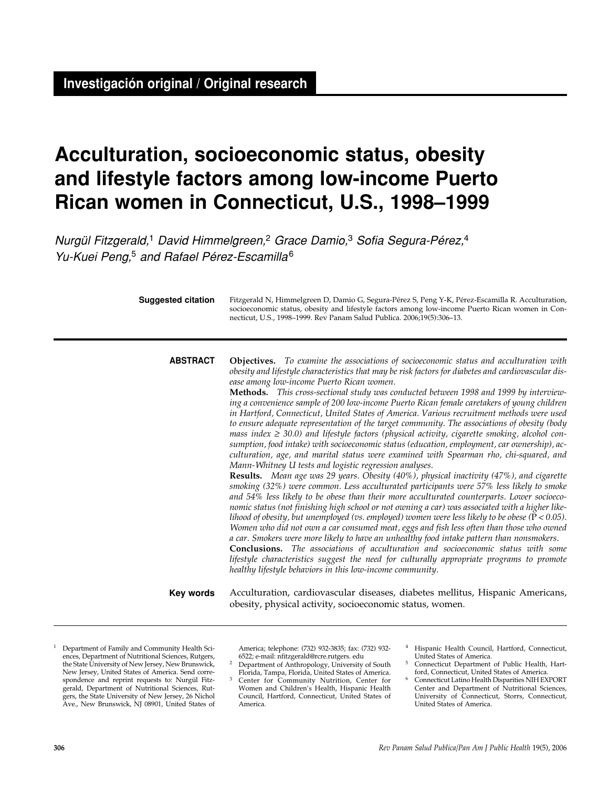# **Acculturation, socioeconomic status, obesity and lifestyle factors among low-income Puerto Rican women in Connecticut, U.S., 1998–1999**

Nurgül Fitzgerald,<sup>1</sup> David Himmelgreen,<sup>2</sup> Grace Damio,<sup>3</sup> Sofia Segura-Pérez,<sup>4</sup> Yu-Kuei Peng,<sup>5</sup> and Rafael Pérez-Escamilla<sup>6</sup>

| <b>Suggested citation</b> | Fitzgerald N, Himmelgreen D, Damio G, Segura-Pérez S, Peng Y-K, Pérez-Escamilla R. Acculturation,<br>socioeconomic status, obesity and lifestyle factors among low-income Puerto Rican women in Con-<br>necticut, U.S., 1998–1999. Rev Panam Salud Publica. 2006;19(5):306–13.                                                                                                                                                                                                                                                                                                                                                                                                                                                                                                                                                                                                                                                                                                                                                                                                                                                                                                                                                                                                                                                                                                                                                                                                                                                                                                                                                                                                                                                                                                                                                                                                                                                              |  |  |
|---------------------------|---------------------------------------------------------------------------------------------------------------------------------------------------------------------------------------------------------------------------------------------------------------------------------------------------------------------------------------------------------------------------------------------------------------------------------------------------------------------------------------------------------------------------------------------------------------------------------------------------------------------------------------------------------------------------------------------------------------------------------------------------------------------------------------------------------------------------------------------------------------------------------------------------------------------------------------------------------------------------------------------------------------------------------------------------------------------------------------------------------------------------------------------------------------------------------------------------------------------------------------------------------------------------------------------------------------------------------------------------------------------------------------------------------------------------------------------------------------------------------------------------------------------------------------------------------------------------------------------------------------------------------------------------------------------------------------------------------------------------------------------------------------------------------------------------------------------------------------------------------------------------------------------------------------------------------------------|--|--|
| <b>ABSTRACT</b>           | Objectives. To examine the associations of socioeconomic status and acculturation with<br>obesity and lifestyle characteristics that may be risk factors for diabetes and cardiovascular dis-<br>ease among low-income Puerto Rican women.<br>Methods. This cross-sectional study was conducted between 1998 and 1999 by interview-<br>ing a convenience sample of 200 low-income Puerto Rican female caretakers of young children<br>in Hartford, Connecticut, United States of America. Various recruitment methods were used<br>to ensure adequate representation of the target community. The associations of obesity (body<br>mass index $\geq$ 30.0) and lifestyle factors (physical activity, cigarette smoking, alcohol con-<br>sumption, food intake) with socioeconomic status (education, employment, car ownership), ac-<br>culturation, age, and marital status were examined with Spearman rho, chi-squared, and<br>Mann-Whitney U tests and logistic regression analyses.<br><b>Results.</b> Mean age was 29 years. Obesity (40%), physical inactivity (47%), and cigarette<br>smoking (32%) were common. Less acculturated participants were 57% less likely to smoke<br>and 54% less likely to be obese than their more acculturated counterparts. Lower socioeco-<br>nomic status (not finishing high school or not owning a car) was associated with a higher like-<br>lihood of obesity, but unemployed (vs. employed) women were less likely to be obese $(P < 0.05)$ .<br>Women who did not own a car consumed meat, eggs and fish less often than those who owned<br>a car. Smokers were more likely to have an unhealthy food intake pattern than nonsmokers.<br><b>Conclusions.</b> The associations of acculturation and socioeconomic status with some<br>lifestyle characteristics suggest the need for culturally appropriate programs to promote<br>healthy lifestyle behaviors in this low-income community. |  |  |
| Key words                 | Acculturation, cardiovascular diseases, diabetes mellitus, Hispanic Americans,<br>obesity, physical activity, socioeconomic status, women.                                                                                                                                                                                                                                                                                                                                                                                                                                                                                                                                                                                                                                                                                                                                                                                                                                                                                                                                                                                                                                                                                                                                                                                                                                                                                                                                                                                                                                                                                                                                                                                                                                                                                                                                                                                                  |  |  |

<sup>1</sup> Department of Family and Community Health Sciences, Department of Nutritional Sciences, Rutgers, the State University of New Jersey, New Brunswick, New Jersey, United States of America. Send correspondence and reprint requests to: Nurgül Fitzgerald, Department of Nutritional Sciences, Rutgers, the State University of New Jersey, 26 Nichol Ave., New Brunswick, NJ 08901, United States of

America; telephone: (732) 932-3835; fax: (732) 932- 6522; e-mail: nfitzgerald@rcre.rutgers. edu

- <sup>2</sup> Department of Anthropology, University of South Florida, Tampa, Florida, United States of America. 3 Center for Community Nutrition, Center for
- Women and Children's Health, Hispanic Health Council, Hartford, Connecticut, United States of America.
- Hispanic Health Council, Hartford, Connecticut, United States of America.
- <sup>5</sup> Connecticut Department of Public Health, Hartford, Connecticut, United States of America.
- <sup>6</sup> Connecticut Latino Health Disparities NIH EXPORT Center and Department of Nutritional Sciences, University of Connecticut, Storrs, Connecticut, United States of America.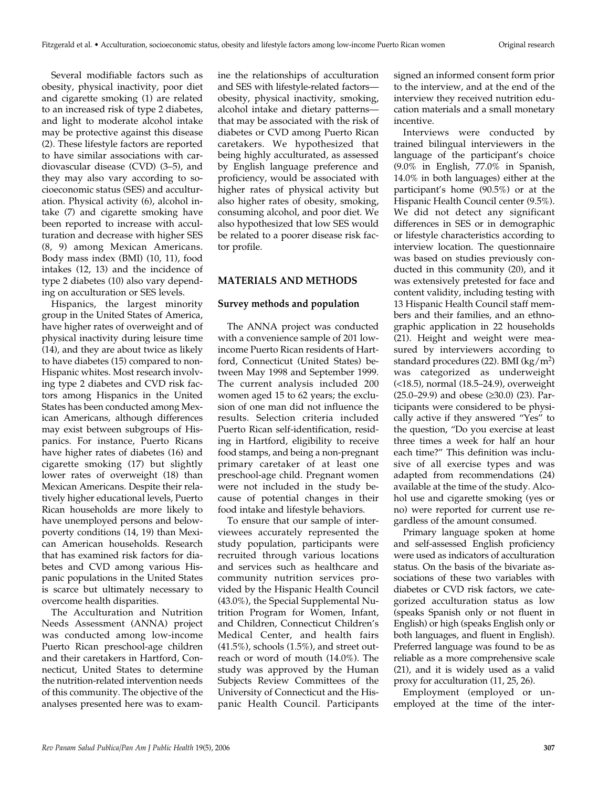Several modifiable factors such as obesity, physical inactivity, poor diet and cigarette smoking (1) are related to an increased risk of type 2 diabetes, and light to moderate alcohol intake may be protective against this disease (2). These lifestyle factors are reported to have similar associations with cardiovascular disease (CVD) (3–5), and they may also vary according to socioeconomic status (SES) and acculturation. Physical activity (6), alcohol intake (7) and cigarette smoking have been reported to increase with acculturation and decrease with higher SES (8, 9) among Mexican Americans. Body mass index (BMI) (10, 11), food intakes (12, 13) and the incidence of type 2 diabetes (10) also vary depending on acculturation or SES levels.

Hispanics, the largest minority group in the United States of America, have higher rates of overweight and of physical inactivity during leisure time (14), and they are about twice as likely to have diabetes (15) compared to non-Hispanic whites. Most research involving type 2 diabetes and CVD risk factors among Hispanics in the United States has been conducted among Mexican Americans, although differences may exist between subgroups of Hispanics. For instance, Puerto Ricans have higher rates of diabetes (16) and cigarette smoking (17) but slightly lower rates of overweight (18) than Mexican Americans. Despite their relatively higher educational levels, Puerto Rican households are more likely to have unemployed persons and belowpoverty conditions (14, 19) than Mexican American households. Research that has examined risk factors for diabetes and CVD among various Hispanic populations in the United States is scarce but ultimately necessary to overcome health disparities.

The Acculturation and Nutrition Needs Assessment (ANNA) project was conducted among low-income Puerto Rican preschool-age children and their caretakers in Hartford, Connecticut, United States to determine the nutrition-related intervention needs of this community. The objective of the analyses presented here was to examine the relationships of acculturation and SES with lifestyle-related factors obesity, physical inactivity, smoking, alcohol intake and dietary patterns that may be associated with the risk of diabetes or CVD among Puerto Rican caretakers. We hypothesized that being highly acculturated, as assessed by English language preference and proficiency, would be associated with higher rates of physical activity but also higher rates of obesity, smoking, consuming alcohol, and poor diet. We also hypothesized that low SES would be related to a poorer disease risk factor profile.

## **MATERIALS AND METHODS**

## **Survey methods and population**

The ANNA project was conducted with a convenience sample of 201 lowincome Puerto Rican residents of Hartford, Connecticut (United States) between May 1998 and September 1999. The current analysis included 200 women aged 15 to 62 years; the exclusion of one man did not influence the results. Selection criteria included Puerto Rican self-identification, residing in Hartford, eligibility to receive food stamps, and being a non-pregnant primary caretaker of at least one preschool-age child. Pregnant women were not included in the study because of potential changes in their food intake and lifestyle behaviors.

To ensure that our sample of interviewees accurately represented the study population, participants were recruited through various locations and services such as healthcare and community nutrition services provided by the Hispanic Health Council (43.0%), the Special Supplemental Nutrition Program for Women, Infant, and Children, Connecticut Children's Medical Center, and health fairs (41.5%), schools (1.5%), and street outreach or word of mouth (14.0%). The study was approved by the Human Subjects Review Committees of the University of Connecticut and the Hispanic Health Council. Participants

signed an informed consent form prior to the interview, and at the end of the interview they received nutrition education materials and a small monetary incentive.

Interviews were conducted by trained bilingual interviewers in the language of the participant's choice (9.0% in English, 77.0% in Spanish, 14.0% in both languages) either at the participant's home (90.5%) or at the Hispanic Health Council center (9.5%). We did not detect any significant differences in SES or in demographic or lifestyle characteristics according to interview location. The questionnaire was based on studies previously conducted in this community (20), and it was extensively pretested for face and content validity, including testing with 13 Hispanic Health Council staff members and their families, and an ethnographic application in 22 households (21). Height and weight were measured by interviewers according to standard procedures (22). BMI (kg/m2) was categorized as underweight (<18.5), normal (18.5–24.9), overweight (25.0–29.9) and obese (≥30.0) (23). Participants were considered to be physically active if they answered "Yes" to the question, "Do you exercise at least three times a week for half an hour each time?" This definition was inclusive of all exercise types and was adapted from recommendations (24) available at the time of the study. Alcohol use and cigarette smoking (yes or no) were reported for current use regardless of the amount consumed.

Primary language spoken at home and self-assessed English proficiency were used as indicators of acculturation status. On the basis of the bivariate associations of these two variables with diabetes or CVD risk factors, we categorized acculturation status as low (speaks Spanish only or not fluent in English) or high (speaks English only or both languages, and fluent in English). Preferred language was found to be as reliable as a more comprehensive scale (21), and it is widely used as a valid proxy for acculturation (11, 25, 26).

Employment (employed or unemployed at the time of the inter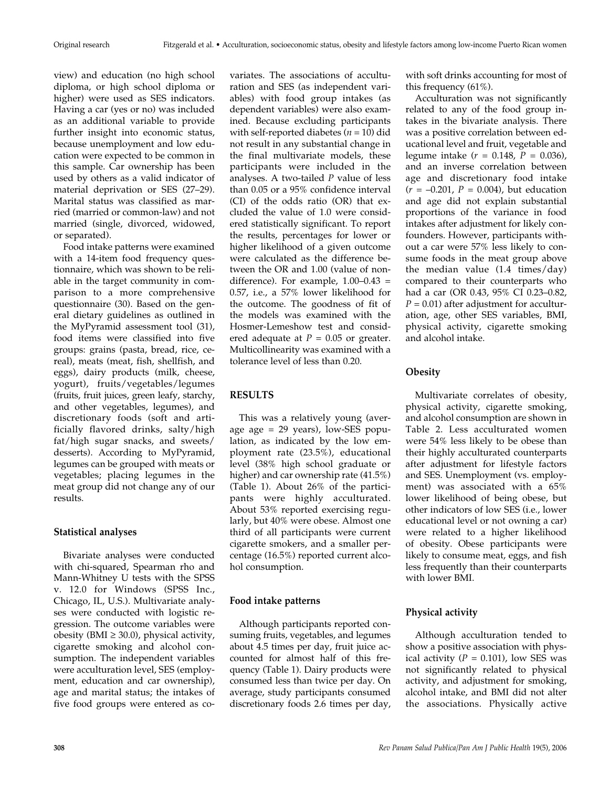view) and education (no high school diploma, or high school diploma or higher) were used as SES indicators. Having a car (yes or no) was included as an additional variable to provide further insight into economic status, because unemployment and low education were expected to be common in this sample. Car ownership has been used by others as a valid indicator of material deprivation or SES (27–29). Marital status was classified as married (married or common-law) and not married (single, divorced, widowed, or separated).

Food intake patterns were examined with a 14-item food frequency questionnaire, which was shown to be reliable in the target community in comparison to a more comprehensive questionnaire (30). Based on the general dietary guidelines as outlined in the MyPyramid assessment tool (31), food items were classified into five groups: grains (pasta, bread, rice, cereal), meats (meat, fish, shellfish, and eggs), dairy products (milk, cheese, yogurt), fruits/vegetables/legumes (fruits, fruit juices, green leafy, starchy, and other vegetables, legumes), and discretionary foods (soft and artificially flavored drinks, salty/high fat/high sugar snacks, and sweets/ desserts). According to MyPyramid, legumes can be grouped with meats or vegetables; placing legumes in the meat group did not change any of our results.

## **Statistical analyses**

Bivariate analyses were conducted with chi-squared, Spearman rho and Mann-Whitney U tests with the SPSS v. 12.0 for Windows (SPSS Inc., Chicago, IL, U.S.). Multivariate analyses were conducted with logistic regression. The outcome variables were obesity (BMI  $\geq$  30.0), physical activity, cigarette smoking and alcohol consumption. The independent variables were acculturation level, SES (employment, education and car ownership), age and marital status; the intakes of five food groups were entered as covariates. The associations of acculturation and SES (as independent variables) with food group intakes (as dependent variables) were also examined. Because excluding participants with self-reported diabetes  $(n = 10)$  did not result in any substantial change in the final multivariate models, these participants were included in the analyses. A two-tailed *P* value of less than 0.05 or a 95% confidence interval (CI) of the odds ratio (OR) that excluded the value of 1.0 were considered statistically significant. To report the results, percentages for lower or higher likelihood of a given outcome were calculated as the difference between the OR and 1.00 (value of nondifference). For example,  $1.00-0.43$  = 0.57, i.e., a 57% lower likelihood for the outcome. The goodness of fit of the models was examined with the Hosmer-Lemeshow test and considered adequate at  $P = 0.05$  or greater. Multicollinearity was examined with a tolerance level of less than 0.20.

# **RESULTS**

This was a relatively young (average age = 29 years), low-SES population, as indicated by the low employment rate (23.5%), educational level (38% high school graduate or higher) and car ownership rate (41.5%) (Table 1). About 26% of the participants were highly acculturated. About 53% reported exercising regularly, but 40% were obese. Almost one third of all participants were current cigarette smokers, and a smaller percentage (16.5%) reported current alcohol consumption.

## **Food intake patterns**

Although participants reported consuming fruits, vegetables, and legumes about 4.5 times per day, fruit juice accounted for almost half of this frequency (Table 1). Dairy products were consumed less than twice per day. On average, study participants consumed discretionary foods 2.6 times per day,

with soft drinks accounting for most of this frequency (61%).

Acculturation was not significantly related to any of the food group intakes in the bivariate analysis. There was a positive correlation between educational level and fruit, vegetable and legume intake (*r* = 0.148, *P* = 0.036), and an inverse correlation between age and discretionary food intake (*r* = –0.201, *P* = 0.004), but education and age did not explain substantial proportions of the variance in food intakes after adjustment for likely confounders. However, participants without a car were 57% less likely to consume foods in the meat group above the median value (1.4 times/day) compared to their counterparts who had a car (OR 0.43, 95% CI 0.23–0.82,  $P = 0.01$ ) after adjustment for acculturation, age, other SES variables, BMI, physical activity, cigarette smoking and alcohol intake.

# **Obesity**

Multivariate correlates of obesity, physical activity, cigarette smoking, and alcohol consumption are shown in Table 2. Less acculturated women were 54% less likely to be obese than their highly acculturated counterparts after adjustment for lifestyle factors and SES. Unemployment (vs. employment) was associated with a 65% lower likelihood of being obese, but other indicators of low SES (i.e., lower educational level or not owning a car) were related to a higher likelihood of obesity. Obese participants were likely to consume meat, eggs, and fish less frequently than their counterparts with lower BMI.

# **Physical activity**

Although acculturation tended to show a positive association with physical activity  $(P = 0.101)$ , low SES was not significantly related to physical activity, and adjustment for smoking, alcohol intake, and BMI did not alter the associations. Physically active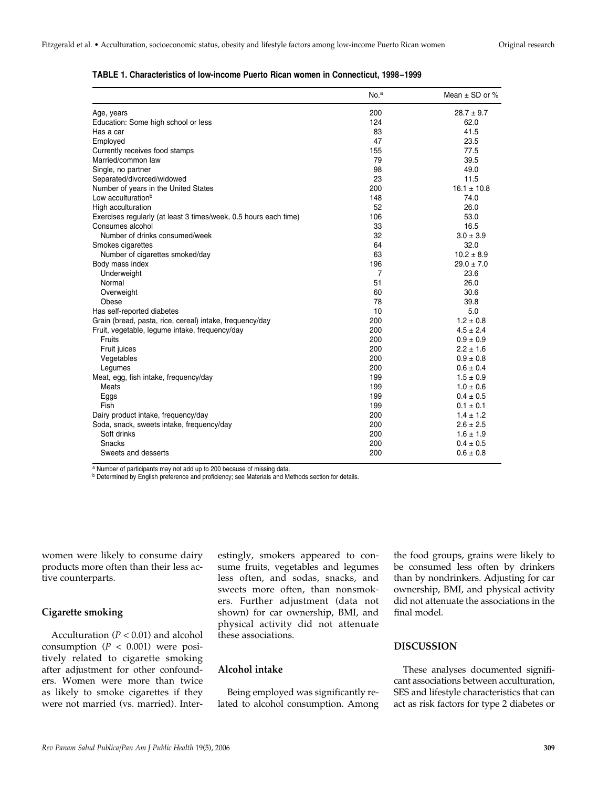|                                                                  | No. <sup>a</sup> | Mean $\pm$ SD or % |
|------------------------------------------------------------------|------------------|--------------------|
| Age, years                                                       | 200              | $28.7 \pm 9.7$     |
| Education: Some high school or less                              | 124              | 62.0               |
| Has a car                                                        | 83               | 41.5               |
| Employed                                                         | 47               | 23.5               |
| Currently receives food stamps                                   | 155              | 77.5               |
| Married/common law                                               | 79               | 39.5               |
| Single, no partner                                               | 98               | 49.0               |
| Separated/divorced/widowed                                       | 23               | 11.5               |
| Number of years in the United States                             | 200              | $16.1 \pm 10.8$    |
| Low acculturation <sup>b</sup>                                   | 148              | 74.0               |
| High acculturation                                               | 52               | 26.0               |
| Exercises regularly (at least 3 times/week, 0.5 hours each time) | 106              | 53.0               |
| Consumes alcohol                                                 | 33               | 16.5               |
| Number of drinks consumed/week                                   | 32               | $3.0 \pm 3.9$      |
| Smokes cigarettes                                                | 64               | 32.0               |
| Number of cigarettes smoked/day                                  | 63               | $10.2 \pm 8.9$     |
| Body mass index                                                  | 196              | $29.0 \pm 7.0$     |
| Underweight                                                      | 7                | 23.6               |
| Normal                                                           | 51               | 26.0               |
| Overweight                                                       | 60               | 30.6               |
| Obese                                                            | 78               | 39.8               |
| Has self-reported diabetes                                       | 10               | 5.0                |
| Grain (bread, pasta, rice, cereal) intake, frequency/day         | 200              | $1.2 \pm 0.8$      |
| Fruit, vegetable, legume intake, frequency/day                   | 200              | $4.5 \pm 2.4$      |
| <b>Fruits</b>                                                    | 200              | $0.9 \pm 0.9$      |
| Fruit juices                                                     | 200              | $2.2 \pm 1.6$      |
| Vegetables                                                       | 200              | $0.9 \pm 0.8$      |
| Legumes                                                          | 200              | $0.6 \pm 0.4$      |
| Meat, egg, fish intake, frequency/day                            | 199              | $1.5 \pm 0.9$      |
| Meats                                                            | 199              | $1.0 \pm 0.6$      |
| Eggs                                                             | 199              | $0.4 \pm 0.5$      |
| Fish                                                             | 199              | $0.1 \pm 0.1$      |
| Dairy product intake, frequency/day                              | 200              | $1.4 \pm 1.2$      |
| Soda, snack, sweets intake, frequency/day                        | 200              | $2.6 \pm 2.5$      |
| Soft drinks                                                      | 200              | $1.6 \pm 1.9$      |
| <b>Snacks</b>                                                    | 200              | $0.4 \pm 0.5$      |
| Sweets and desserts                                              | 200              | $0.6 \pm 0.8$      |

#### **TABLE 1. Characteristics of low-income Puerto Rican women in Connecticut, 1998–1999**

<sup>a</sup> Number of participants may not add up to 200 because of missing data.

b Determined by English preference and proficiency; see Materials and Methods section for details.

women were likely to consume dairy products more often than their less active counterparts.

## **Cigarette smoking**

Acculturation (*P* < 0.01) and alcohol consumption  $(P < 0.001)$  were positively related to cigarette smoking after adjustment for other confounders. Women were more than twice as likely to smoke cigarettes if they were not married (vs. married). Interestingly, smokers appeared to consume fruits, vegetables and legumes less often, and sodas, snacks, and sweets more often, than nonsmokers. Further adjustment (data not shown) for car ownership, BMI, and physical activity did not attenuate these associations.

## **Alcohol intake**

Being employed was significantly related to alcohol consumption. Among

the food groups, grains were likely to be consumed less often by drinkers than by nondrinkers. Adjusting for car ownership, BMI, and physical activity did not attenuate the associations in the final model.

# **DISCUSSION**

These analyses documented significant associations between acculturation, SES and lifestyle characteristics that can act as risk factors for type 2 diabetes or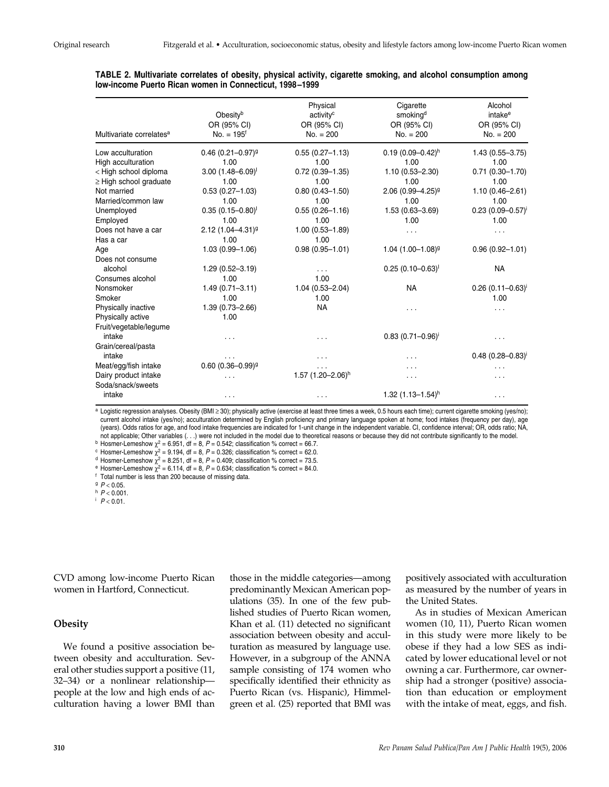#### **TABLE 2. Multivariate correlates of obesity, physical activity, cigarette smoking, and alcohol consumption among low-income Puerto Rican women in Connecticut, 1998–1999**

| Multivariate correlates <sup>a</sup> | Obesity <sup>b</sup><br>OR (95% CI)<br>$No. = 195f$ | Physical<br>activity <sup>c</sup><br>OR (95% CI)<br>$No. = 200$ | Cigarette<br>smoking <sup>d</sup><br>OR (95% CI)<br>$No. = 200$ | Alcohol<br>intake <sup>e</sup><br>OR (95% CI)<br>$No. = 200$ |
|--------------------------------------|-----------------------------------------------------|-----------------------------------------------------------------|-----------------------------------------------------------------|--------------------------------------------------------------|
| Low acculturation                    | $0.46$ (0.21-0.97) <sup>9</sup>                     | $0.55(0.27 - 1.13)$                                             | $0.19(0.09 - 0.42)^h$                                           | $1.43(0.55 - 3.75)$                                          |
| High acculturation                   | 1.00                                                | 1.00                                                            | 1.00                                                            | 1.00                                                         |
| < High school diploma                | $3.00 (1.48 - 6.09)$                                | $0.72(0.39 - 1.35)$                                             | $1.10(0.53 - 2.30)$                                             | $0.71(0.30 - 1.70)$                                          |
| $\geq$ High school graduate          | 1.00                                                | 1.00                                                            | 1.00                                                            | 1.00                                                         |
| Not married                          | $0.53(0.27 - 1.03)$                                 | $0.80(0.43 - 1.50)$                                             | $2.06$ (0.99-4.25) <sup>g</sup>                                 | $1.10(0.46 - 2.61)$                                          |
| Married/common law                   | 1.00                                                | 1.00                                                            | 1.00                                                            | 1.00                                                         |
| Unemployed                           | $0.35(0.15 - 0.80)^{1}$                             | $0.55(0.26 - 1.16)$                                             | $1.53(0.63 - 3.69)$                                             | $0.23(0.09 - 0.57)^{i}$                                      |
| Employed                             | 1.00                                                | 1.00                                                            | 1.00                                                            | 1.00                                                         |
| Does not have a car                  | $2.12(1.04 - 4.31)^9$                               | $1.00(0.53 - 1.89)$                                             | .                                                               | .                                                            |
| Has a car                            | 1.00                                                | 1.00                                                            |                                                                 |                                                              |
| Age                                  | $1.03(0.99 - 1.06)$                                 | $0.98(0.95 - 1.01)$                                             | $1.04$ $(1.00 - 1.08)^9$                                        | $0.96(0.92 - 1.01)$                                          |
| Does not consume                     |                                                     |                                                                 |                                                                 |                                                              |
| alcohol                              | 1.29 (0.52-3.19)                                    | $\cdots$                                                        | $0.25(0.10-0.63)^{1}$                                           | <b>NA</b>                                                    |
| Consumes alcohol                     | 1.00                                                | 1.00                                                            |                                                                 |                                                              |
| Nonsmoker                            | $1.49(0.71 - 3.11)$                                 | $1.04(0.53 - 2.04)$                                             | <b>NA</b>                                                       | $0.26$ (0.11-0.63) <sup>i</sup>                              |
| Smoker                               | 1.00                                                | 1.00                                                            |                                                                 | 1.00                                                         |
| Physically inactive                  | $1.39(0.73 - 2.66)$                                 | <b>NA</b>                                                       | .                                                               | .                                                            |
| Physically active                    | 1.00                                                |                                                                 |                                                                 |                                                              |
| Fruit/vegetable/legume               |                                                     |                                                                 |                                                                 |                                                              |
| intake                               | .                                                   | $\cdots$                                                        | $0.83(0.71 - 0.96)^{\text{T}}$                                  | .                                                            |
| Grain/cereal/pasta                   |                                                     |                                                                 |                                                                 |                                                              |
| intake                               |                                                     | .                                                               | .                                                               | $0.48(0.28 - 0.83)^{i}$                                      |
| Meat/egg/fish intake                 | $0.60$ (0.36-0.99) <sup>g</sup>                     | .                                                               |                                                                 |                                                              |
| Dairy product intake                 | .                                                   | 1.57 $(1.20 - 2.06)^h$                                          | .                                                               | .                                                            |
| Soda/snack/sweets                    |                                                     |                                                                 |                                                                 |                                                              |
| intake                               | .                                                   | .                                                               | 1.32 $(1.13 - 1.54)^h$                                          | .                                                            |

a Logistic regression analyses. Obesity (BMI ≥ 30); physically active (exercise at least three times a week, 0.5 hours each time); current cigarette smoking (yes/no); current alcohol intake (yes/no); acculturation determined by English proficiency and primary language spoken at home; food intakes (frequency per day), age (years). Odds ratios for age, and food intake frequencies are indicated for 1-unit change in the independent variable. CI, confidence interval; OR, odds ratio; NA, not applicable; Other variables (...) were not included in the model due to theoretical reasons or because they did not contribute significantly to the model.<br><sup>b</sup> Hosmer-Lemeshow  $\chi^2$  = 6.951, df = 8, P = 0.542; classif

c Hosmer-Lemeshow  $\chi^2 = 9.194$ , df = 8,  $P = 0.326$ ; classification % correct = 62.0.<br>
<sup>d</sup> Hosmer-Lemeshow  $\chi^2 = 8.251$ , df = 8,  $P = 0.409$ ; classification % correct = 73.5.

<sup>e</sup> Hosmer-Lemeshow  $\chi^2$  = 6.114, df = 8, P = 0.634; classification % correct = 84.0. f Total number is less than 200 because of missing data.

 $h$   $P < 0.001$ .

 $P < 0.01$ .

CVD among low-income Puerto Rican women in Hartford, Connecticut.

#### **Obesity**

We found a positive association between obesity and acculturation. Several other studies support a positive (11, 32–34) or a nonlinear relationship people at the low and high ends of acculturation having a lower BMI than those in the middle categories—among predominantly Mexican American populations (35). In one of the few published studies of Puerto Rican women, Khan et al. (11) detected no significant association between obesity and acculturation as measured by language use. However, in a subgroup of the ANNA sample consisting of 174 women who specifically identified their ethnicity as Puerto Rican (vs. Hispanic), Himmelgreen et al. (25) reported that BMI was

positively associated with acculturation as measured by the number of years in the United States.

As in studies of Mexican American women (10, 11), Puerto Rican women in this study were more likely to be obese if they had a low SES as indicated by lower educational level or not owning a car. Furthermore, car ownership had a stronger (positive) association than education or employment with the intake of meat, eggs, and fish.

 $9 P < 0.05$ .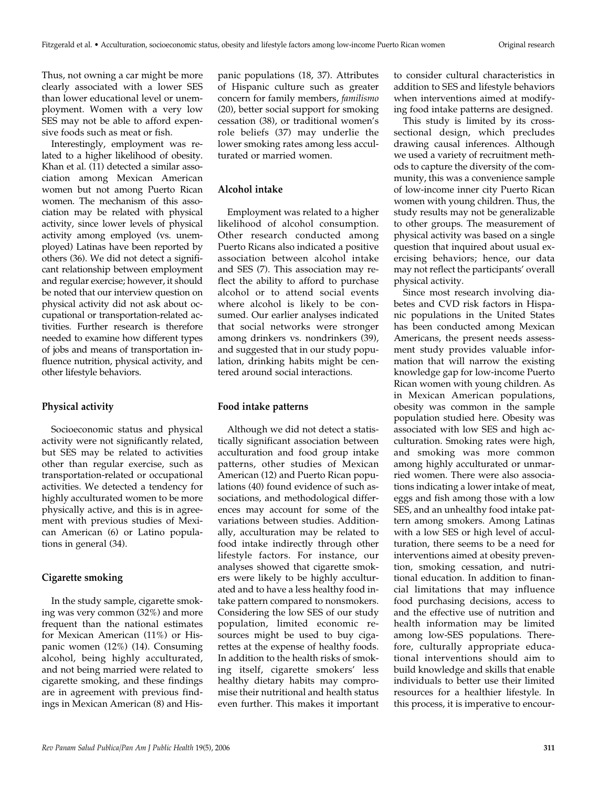Thus, not owning a car might be more clearly associated with a lower SES than lower educational level or unemployment. Women with a very low SES may not be able to afford expensive foods such as meat or fish.

Interestingly, employment was related to a higher likelihood of obesity. Khan et al. (11) detected a similar association among Mexican American women but not among Puerto Rican women. The mechanism of this association may be related with physical activity, since lower levels of physical activity among employed (vs. unemployed) Latinas have been reported by others (36). We did not detect a significant relationship between employment and regular exercise; however, it should be noted that our interview question on physical activity did not ask about occupational or transportation-related activities. Further research is therefore needed to examine how different types of jobs and means of transportation influence nutrition, physical activity, and other lifestyle behaviors.

#### **Physical activity**

Socioeconomic status and physical activity were not significantly related, but SES may be related to activities other than regular exercise, such as transportation-related or occupational activities. We detected a tendency for highly acculturated women to be more physically active, and this is in agreement with previous studies of Mexican American (6) or Latino populations in general (34).

## **Cigarette smoking**

In the study sample, cigarette smoking was very common (32%) and more frequent than the national estimates for Mexican American (11%) or Hispanic women (12%) (14). Consuming alcohol, being highly acculturated, and not being married were related to cigarette smoking, and these findings are in agreement with previous findings in Mexican American (8) and His-

panic populations (18, 37). Attributes of Hispanic culture such as greater concern for family members, *familismo* (20), better social support for smoking cessation (38), or traditional women's role beliefs (37) may underlie the lower smoking rates among less acculturated or married women.

## **Alcohol intake**

Employment was related to a higher likelihood of alcohol consumption. Other research conducted among Puerto Ricans also indicated a positive association between alcohol intake and SES (7). This association may reflect the ability to afford to purchase alcohol or to attend social events where alcohol is likely to be consumed. Our earlier analyses indicated that social networks were stronger among drinkers vs. nondrinkers (39), and suggested that in our study population, drinking habits might be centered around social interactions.

#### **Food intake patterns**

Although we did not detect a statistically significant association between acculturation and food group intake patterns, other studies of Mexican American (12) and Puerto Rican populations (40) found evidence of such associations, and methodological differences may account for some of the variations between studies. Additionally, acculturation may be related to food intake indirectly through other lifestyle factors. For instance, our analyses showed that cigarette smokers were likely to be highly acculturated and to have a less healthy food intake pattern compared to nonsmokers. Considering the low SES of our study population, limited economic resources might be used to buy cigarettes at the expense of healthy foods. In addition to the health risks of smoking itself, cigarette smokers' less healthy dietary habits may compromise their nutritional and health status even further. This makes it important

to consider cultural characteristics in addition to SES and lifestyle behaviors when interventions aimed at modifying food intake patterns are designed.

This study is limited by its crosssectional design, which precludes drawing causal inferences. Although we used a variety of recruitment methods to capture the diversity of the community, this was a convenience sample of low-income inner city Puerto Rican women with young children. Thus, the study results may not be generalizable to other groups. The measurement of physical activity was based on a single question that inquired about usual exercising behaviors; hence, our data may not reflect the participants' overall physical activity.

Since most research involving diabetes and CVD risk factors in Hispanic populations in the United States has been conducted among Mexican Americans, the present needs assessment study provides valuable information that will narrow the existing knowledge gap for low-income Puerto Rican women with young children. As in Mexican American populations, obesity was common in the sample population studied here. Obesity was associated with low SES and high acculturation. Smoking rates were high, and smoking was more common among highly acculturated or unmarried women. There were also associations indicating a lower intake of meat, eggs and fish among those with a low SES, and an unhealthy food intake pattern among smokers. Among Latinas with a low SES or high level of acculturation, there seems to be a need for interventions aimed at obesity prevention, smoking cessation, and nutritional education. In addition to financial limitations that may influence food purchasing decisions, access to and the effective use of nutrition and health information may be limited among low-SES populations. Therefore, culturally appropriate educational interventions should aim to build knowledge and skills that enable individuals to better use their limited resources for a healthier lifestyle. In this process, it is imperative to encour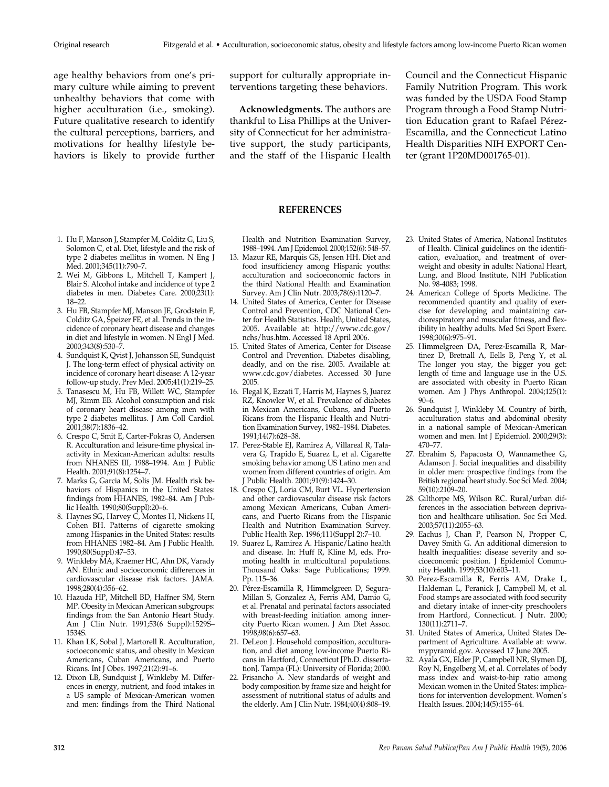age healthy behaviors from one's primary culture while aiming to prevent unhealthy behaviors that come with higher acculturation (i.e., smoking). Future qualitative research to identify the cultural perceptions, barriers, and motivations for healthy lifestyle behaviors is likely to provide further

- 1. Hu F, Manson J, Stampfer M, Colditz G, Liu S, Solomon C, et al. Diet, lifestyle and the risk of type 2 diabetes mellitus in women. N Eng J Med. 2001;345(11):790–7.
- 2. Wei M, Gibbons L, Mitchell T, Kampert J, Blair S. Alcohol intake and incidence of type 2 diabetes in men. Diabetes Care. 2000;23(1): 18–22.
- 3. Hu FB, Stampfer MJ, Manson JE, Grodstein F, Colditz GA, Speizer FE, et al. Trends in the incidence of coronary heart disease and changes in diet and lifestyle in women. N Engl J Med. 2000;343(8):530–7.
- 4. Sundquist K, Qvist J, Johansson SE, Sundquist J. The long-term effect of physical activity on incidence of coronary heart disease: A 12-year follow-up study. Prev Med. 2005;41(1):219–25.
- 5. Tanasescu M, Hu FB, Willett WC, Stampfer MJ, Rimm EB. Alcohol consumption and risk of coronary heart disease among men with type 2 diabetes mellitus. J Am Coll Cardiol. 2001;38(7):1836–42.
- 6. Crespo C, Smit E, Carter-Pokras O, Andersen R. Acculturation and leisure-time physical inactivity in Mexican-American adults: results from NHANES III, 1988–1994. Am J Public Health. 2001;91(8):1254–7.
- 7. Marks G, Garcia M, Solis JM. Health risk behaviors of Hispanics in the United States: findings from HHANES, 1982–84. Am J Public Health. 1990;80(Suppl):20–6.
- 8. Haynes SG, Harvey C, Montes H, Nickens H, Cohen BH. Patterns of cigarette smoking among Hispanics in the United States: results from HHANES 1982–84. Am J Public Health. 1990;80(Suppl):47–53.
- 9. Winkleby MA, Kraemer HC, Ahn DK, Varady AN. Ethnic and socioeconomic differences in cardiovascular disease risk factors. JAMA. 1998;280(4):356–62.
- 10. Hazuda HP, Mitchell BD, Haffner SM, Stern MP. Obesity in Mexican American subgroups: findings from the San Antonio Heart Study. Am J Clin Nutr. 1991;53(6 Suppl):1529S– 1534S.
- 11. Khan LK, Sobal J, Martorell R. Acculturation, socioeconomic status, and obesity in Mexican Americans, Cuban Americans, and Puerto Ricans. Int J Obes. 1997;21(2):91–6.
- 12. Dixon LB, Sundquist J, Winkleby M. Differences in energy, nutrient, and food intakes in a US sample of Mexican-American women and men: findings from the Third National

support for culturally appropriate interventions targeting these behaviors.

**Acknowledgments.** The authors are thankful to Lisa Phillips at the University of Connecticut for her administrative support, the study participants, and the staff of the Hispanic Health Council and the Connecticut Hispanic Family Nutrition Program. This work was funded by the USDA Food Stamp Program through a Food Stamp Nutrition Education grant to Rafael Pérez-Escamilla, and the Connecticut Latino Health Disparities NIH EXPORT Center (grant 1P20MD001765-01).

#### **REFERENCES**

Health and Nutrition Examination Survey, 1988–1994. Am J Epidemiol. 2000;152(6): 548–57.

- 13. Mazur RE, Marquis GS, Jensen HH. Diet and food insufficiency among Hispanic youths: acculturation and socioeconomic factors in the third National Health and Examination Survey. Am J Clin Nutr. 2003;78(6):1120–7.
- 14. United States of America, Center for Disease Control and Prevention, CDC National Center for Health Statistics. Health, United States, 2005. Available at: http://www.cdc.gov/ nchs/hus.htm. Accessed 18 April 2006.
- 15. United States of America, Center for Disease Control and Prevention. Diabetes disabling, deadly, and on the rise. 2005. Available at: www.cdc.gov/diabetes. Accessed 30 June 2005.
- 16. Flegal K, Ezzati T, Harris M, Haynes S, Juarez RZ, Knowler W, et al. Prevalence of diabetes in Mexican Americans, Cubans, and Puerto Ricans from the Hispanic Health and Nutrition Examination Survey, 1982–1984. Diabetes. 1991;14(7):628–38.
- 17. Perez-Stable EJ, Ramirez A, Villareal R, Talavera G, Trapido E, Suarez L, et al. Cigarette smoking behavior among US Latino men and women from different countries of origin. Am J Public Health. 2001;91(9):1424–30.
- 18. Crespo CJ, Loria CM, Burt VL. Hypertension and other cardiovascular disease risk factors among Mexican Americans, Cuban Americans, and Puerto Ricans from the Hispanic Health and Nutrition Examination Survey. Public Health Rep. 1996;111(Suppl 2):7–10.
- 19. Suarez L, Ramirez A. Hispanic/Latino health and disease. In: Huff R, Kline M, eds. Promoting health in multicultural populations. Thousand Oaks: Sage Publications; 1999. Pp. 115–36.
- 20. Pérez-Escamilla R, Himmelgreen D, Segura-Millan S, Gonzalez A, Ferris AM, Damio G, et al. Prenatal and perinatal factors associated with breast-feeding initiation among innercity Puerto Rican women. J Am Diet Assoc. 1998;98(6):657–63.
- 21. DeLeon J. Household composition, acculturation, and diet among low-income Puerto Ricans in Hartford, Connecticut [Ph.D. dissertation]. Tampa (FL): University of Florida; 2000.
- 22. Frisancho A. New standards of weight and body composition by frame size and height for assessment of nutritional status of adults and the elderly. Am J Clin Nutr. 1984;40(4):808–19.
- 23. United States of America, National Institutes of Health. Clinical guidelines on the identification, evaluation, and treatment of overweight and obesity in adults: National Heart, Lung, and Blood Institute, NIH Publication No. 98-4083; 1998.
- 24. American College of Sports Medicine. The recommended quantity and quality of exercise for developing and maintaining cardiorespiratory and muscular fitness, and flexibility in healthy adults. Med Sci Sport Exerc. 1998;30(6):975–91.
- 25. Himmelgreen DA, Perez-Escamilla R, Martinez D, Bretnall A, Eells B, Peng Y, et al. The longer you stay, the bigger you get: length of time and language use in the U.S. are associated with obesity in Puerto Rican women. Am J Phys Anthropol. 2004;125(1): 90–6.
- 26. Sundquist J, Winkleby M. Country of birth, acculturation status and abdominal obesity in a national sample of Mexican-American women and men. Int J Epidemiol. 2000;29(3): 470–77.
- 27. Ebrahim S, Papacosta O, Wannamethee G, Adamson J. Social inequalities and disability in older men: prospective findings from the British regional heart study. Soc Sci Med. 2004; 59(10):2109–20.
- 28. Gilthorpe MS, Wilson RC. Rural/urban differences in the association between deprivation and healthcare utilisation. Soc Sci Med. 2003;57(11):2055–63.
- 29. Eachus J, Chan P, Pearson N, Propper C, Davey Smith G. An additional dimension to health inequalities: disease severity and socioeconomic position. J Epidemiol Community Health. 1999;53(10):603–11.
- 30. Perez-Escamilla R, Ferris AM, Drake L, Haldeman L, Peranick J, Campbell M, et al. Food stamps are associated with food security and dietary intake of inner-city preschoolers from Hartford, Connecticut. J Nutr. 2000; 130(11):2711–7.
- 31. United States of America, United States Department of Agriculture. Available at: www. mypyramid.gov. Accessed 17 June 2005.
- 32. Ayala GX, Elder JP, Campbell NR, Slymen DJ, Roy N, Engelberg M, et al. Correlates of body mass index and waist-to-hip ratio among Mexican women in the United States: implications for intervention development. Women's Health Issues. 2004;14(5):155–64.